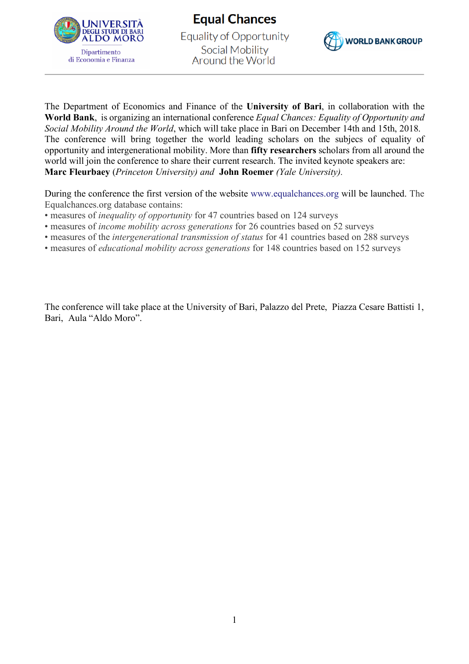

**Equal Chances Equality of Opportunity** Social Mobility Around the World



The Department of Economics and Finance of the **University of Bari**, in collaboration with the **World Bank**, is organizing an international conference *Equal Chances: Equality of Opportunity and Social Mobility Around the World*, which will take place in Bari on December 14th and 15th, 2018. The conference will bring together the world leading scholars on the subjecs of equality of opportunity and intergenerational mobility. More than **fifty researchers** scholars from all around the world will join the conference to share their current research. The invited keynote speakers are: **Marc Fleurbaey** (*Princeton University) and* **John Roemer** *(Yale University).*

During the conference the first version of the website www.equalchances.org will be launched. The Equalchances.org database contains:

- measures of *inequality of opportunity* for 47 countries based on 124 surveys
- measures of *income mobility across generations* for 26 countries based on 52 surveys
- measures of the *intergenerational transmission of status* for 41 countries based on 288 surveys
- measures of *educational mobility across generations* for 148 countries based on 152 surveys

The conference will take place at the University of Bari, Palazzo del Prete, Piazza Cesare Battisti 1, Bari, Aula "Aldo Moro".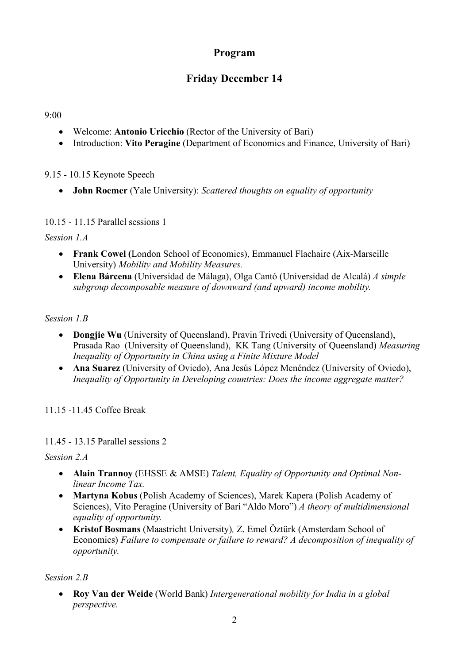## **Program**

# **Friday December 14**

#### 9:00

- Welcome: **Antonio Uricchio** (Rector of the University of Bari)
- Introduction: **Vito Peragine** (Department of Economics and Finance, University of Bari)

9.15 - 10.15 Keynote Speech

• **John Roemer** (Yale University): *Scattered thoughts on equality of opportunity*

10.15 - 11.15 Parallel sessions 1

*Session 1.A*

- **Frank Cowel (**London School of Economics), Emmanuel Flachaire (Aix-Marseille University) *Mobility and Mobility Measures.*
- **Elena Bárcena** (Universidad de Málaga), Olga Cantó (Universidad de Alcalá) *A simple subgroup decomposable measure of downward (and upward) income mobility.*

#### *Session 1.B*

- **Dongjie Wu** (University of Queensland), Pravin Trivedi (University of Queensland), Prasada Rao (University of Queensland), KK Tang (University of Queensland) *Measuring Inequality of Opportunity in China using a Finite Mixture Model*
- **Ana Suarez** (University of Oviedo), Ana Jesús López Menéndez (University of Oviedo), *Inequality of Opportunity in Developing countries: Does the income aggregate matter?*

11.15 -11.45 Coffee Break

11.45 - 13.15 Parallel sessions 2

*Session 2.A*

- **Alain Trannoy** (EHSSE & AMSE) *Talent, Equality of Opportunity and Optimal Nonlinear Income Tax.*
- **Martyna Kobus** (Polish Academy of Sciences), Marek Kapera (Polish Academy of Sciences), Vito Peragine (University of Bari "Aldo Moro") *A theory of multidimensional equality of opportunity.*
- **Kristof Bosmans** (Maastricht University)*,* Z. Emel Öztürk (Amsterdam School of Economics) *Failure to compensate or failure to reward? A decomposition of inequality of opportunity.*

#### *Session 2.B*

• **Roy Van der Weide** (World Bank) *Intergenerational mobility for India in a global perspective.*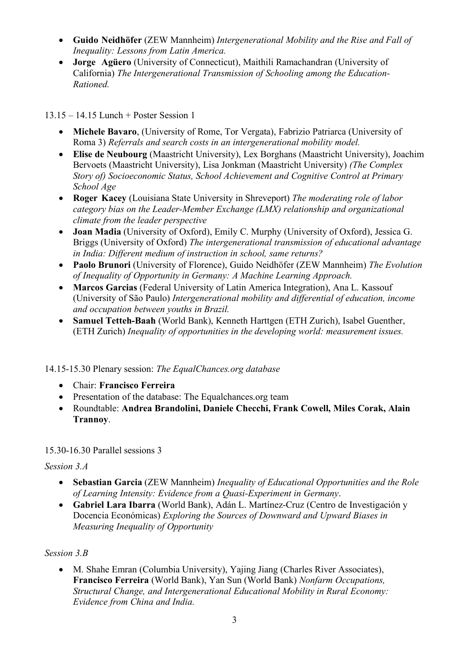- **Guido Neidhöfer** (ZEW Mannheim) *Intergenerational Mobility and the Rise and Fall of Inequality: Lessons from Latin America.*
- **Jorge Agüero** (University of Connecticut), Maithili Ramachandran (University of California) *The Intergenerational Transmission of Schooling among the Education-Rationed.*

13.15 – 14.15 Lunch + Poster Session 1

- **Michele Bavaro**, (University of Rome, Tor Vergata), Fabrizio Patriarca (University of Roma 3) *Referrals and search costs in an intergenerational mobility model.*
- **Elise de Neubourg** (Maastricht University), Lex Borghans (Maastricht University), Joachim Bervoets (Maastricht University), Lisa Jonkman (Maastricht University) *(The Complex Story of) Socioeconomic Status, School Achievement and Cognitive Control at Primary School Age*
- **Roger Kacey** (Louisiana State University in Shreveport) *The moderating role of labor category bias on the Leader-Member Exchange (LMX) relationship and organizational climate from the leader perspective*
- **Joan Madia** (University of Oxford), Emily C. Murphy (University of Oxford), Jessica G. Briggs (University of Oxford) *The intergenerational transmission of educational advantage in India: Different medium of instruction in school, same returns?*
- **Paolo Brunori** (University of Florence), Guido Neidhöfer (ZEW Mannheim) *The Evolution of Inequality of Opportunity in Germany: A Machine Learning Approach.*
- **Marcos Garcias** (Federal University of Latin America Integration), Ana L. Kassouf (University of São Paulo) *Intergenerational mobility and differential of education, income and occupation between youths in Brazil.*
- **Samuel Tetteh-Baah** (World Bank), Kenneth Harttgen (ETH Zurich), Isabel Guenther, (ETH Zurich) *Inequality of opportunities in the developing world: measurement issues.*

14.15-15.30 Plenary session: *The EqualChances.org database*

- Chair: **Francisco Ferreira**
- Presentation of the database: The Equalchances.org team
- Roundtable: **Andrea Brandolini, Daniele Checchi, Frank Cowell, Miles Corak, Alain Trannoy**.

15.30-16.30 Parallel sessions 3

*Session 3.A*

- **Sebastian Garcia** (ZEW Mannheim) *Inequality of Educational Opportunities and the Role of Learning Intensity: Evidence from a Quasi-Experiment in Germany*.
- **Gabriel Lara Ibarra** (World Bank), Adán L. Martínez-Cruz (Centro de Investigación y Docencia Económicas) *Exploring the Sources of Downward and Upward Biases in Measuring Inequality of Opportunity*

## *Session 3.B*

• M. Shahe Emran (Columbia University), Yajing Jiang (Charles River Associates), **Francisco Ferreira** (World Bank), Yan Sun (World Bank) *Nonfarm Occupations, Structural Change, and Intergenerational Educational Mobility in Rural Economy: Evidence from China and India.*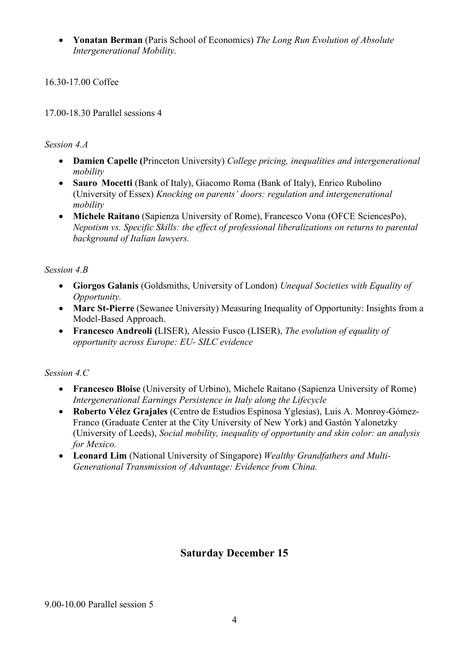• **Yonatan Berman** (Paris School of Economics) *The Long Run Evolution of Absolute Intergenerational Mobility.*

16.30-17.00 Coffee

17.00-18.30 Parallel sessions 4

#### *Session 4.A*

- **Damien Capelle (**Princeton University) *College pricing, inequalities and intergenerational mobility*
- **Sauro Mocetti** (Bank of Italy), Giacomo Roma (Bank of Italy), Enrico Rubolino (University of Essex) *Knocking on parents' doors: regulation and intergenerational mobility*
- **Michele Raitano** (Sapienza University of Rome), Francesco Vona (OFCE SciencesPo), *Nepotism vs. Specific Skills: the effect of professional liberalizations on returns to parental background of Italian lawyers.*

#### *Session 4.B*

- **Giorgos Galanis** (Goldsmiths, University of London) *Unequal Societies with Equality of Opportunity.*
- **Marc St-Pierre** (Sewanee University) Measuring Inequality of Opportunity: Insights from a Model-Based Approach.
- **Francesco Andreoli (**LISER), Alessio Fusco (LISER), *The evolution of equality of opportunity across Europe: EU- SILC evidence*

## *Session 4.C*

- **Francesco Bloise** (University of Urbino), Michele Raitano (Sapienza University of Rome) *Intergenerational Earnings Persistence in Italy along the Lifecycle*
- **Roberto Vélez Grajales** (Centro de Estudios Espinosa Yglesias), Luis A. Monroy-Gómez-Franco (Graduate Center at the City University of New York) and Gastón Yalonetzky (University of Leeds), *Social mobility, inequality of opportunity and skin color: an analysis for Mexico.*
- **Leonard Lim** (National University of Singapore) *Wealthy Grandfathers and Multi-Generational Transmission of Advantage: Evidence from China.*

# **Saturday December 15**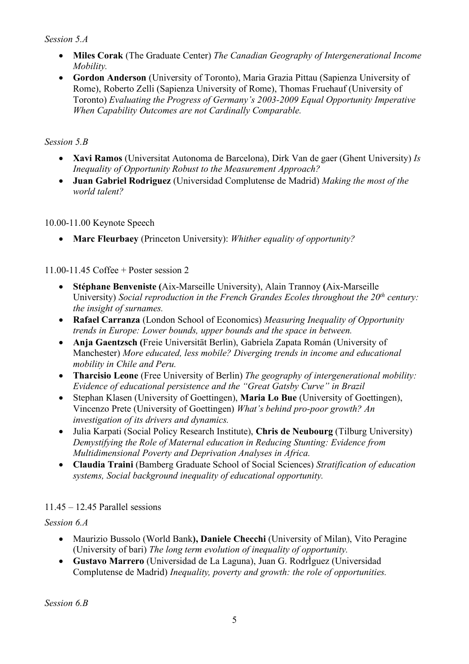#### *Session 5.A*

- **Miles Corak** (The Graduate Center) *The Canadian Geography of Intergenerational Income Mobility.*
- **Gordon Anderson** (University of Toronto), Maria Grazia Pittau (Sapienza University of Rome), Roberto Zelli (Sapienza University of Rome), Thomas Fruehauf (University of Toronto) *Evaluating the Progress of Germany's 2003-2009 Equal Opportunity Imperative When Capability Outcomes are not Cardinally Comparable.*

### *Session 5.B*

- **Xavi Ramos** (Universitat Autonoma de Barcelona), Dirk Van de gaer (Ghent University) *Is Inequality of Opportunity Robust to the Measurement Approach?*
- **Juan Gabriel Rodriguez** (Universidad Complutense de Madrid) *Making the most of the world talent?*

10.00-11.00 Keynote Speech

• **Marc Fleurbaey** (Princeton University): *Whither equality of opportunity?*

## 11.00-11.45 Coffee + Poster session 2

- **Stéphane Benveniste (**Aix-Marseille University), Alain Trannoy **(**Aix-Marseille University) *Social reproduction in the French Grandes Ecoles throughout the 20<sup>th</sup> century: the insight of surnames.*
- **Rafael Carranza** (London School of Economics) *Measuring Inequality of Opportunity trends in Europe: Lower bounds, upper bounds and the space in between.*
- **Anja Gaentzsch (**Freie Universität Berlin), Gabriela Zapata Román (University of Manchester) *More educated, less mobile? Diverging trends in income and educational mobility in Chile and Peru.*
- **Tharcisio Leone** (Free University of Berlin) *The geography of intergenerational mobility: Evidence of educational persistence and the "Great Gatsby Curve" in Brazil*
- Stephan Klasen (University of Goettingen), **Maria Lo Bue** (University of Goettingen), Vincenzo Prete (University of Goettingen) *What's behind pro-poor growth? An investigation of its drivers and dynamics.*
- Julia Karpati (Social Policy Research Institute), **Chris de Neubourg** (Tilburg University) *Demystifying the Role of Maternal education in Reducing Stunting: Evidence from Multidimensional Poverty and Deprivation Analyses in Africa.*
- **Claudia Traini** (Bamberg Graduate School of Social Sciences) *Stratification of education systems, Social background inequality of educational opportunity.*

## 11.45 – 12.45 Parallel sessions

## *Session 6.A*

- Maurizio Bussolo (World Bank**), Daniele Checchi** (University of Milan), Vito Peragine (University of bari) *The long term evolution of inequality of opportunity.*
- **Gustavo Marrero** (Universidad de La Laguna), Juan G. RodrÌguez (Universidad Complutense de Madrid) *Inequality, poverty and growth: the role of opportunities.*

*Session 6.B*